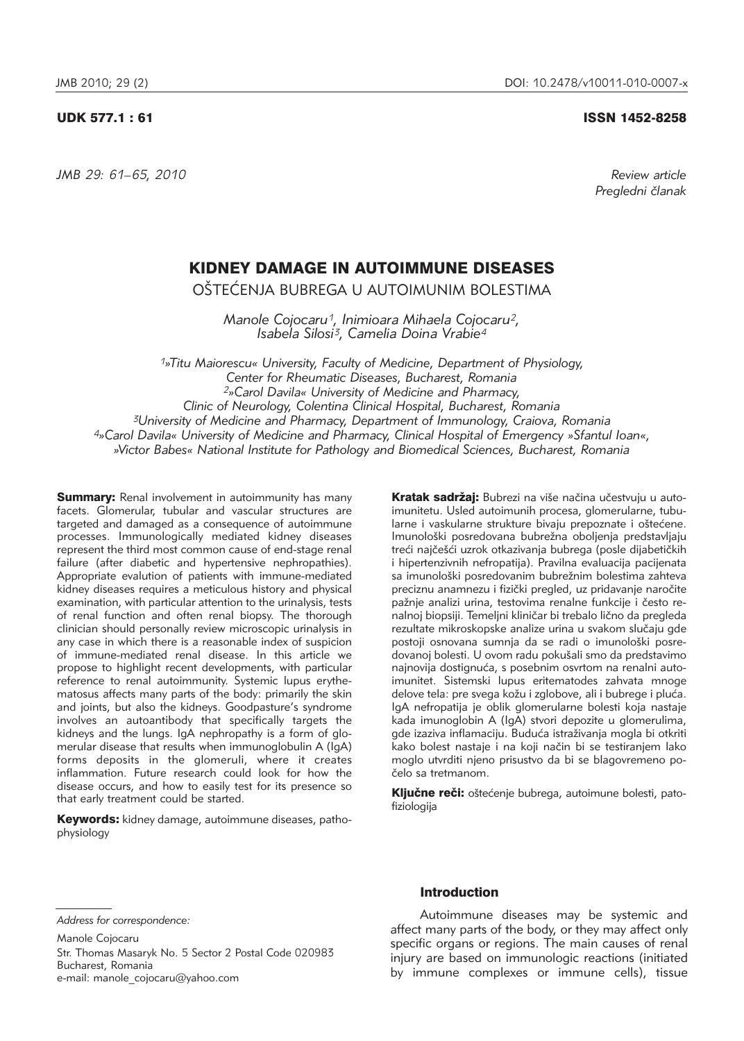*JMB 29: 61–65, 2010 Review article*

#### UDK 577.1 : 61 ISSN 1452-8258

*Pregledni ~lanak*

# KIDNEY DAMAGE IN AUTOIMMUNE DISEASES

OŠTEĆENJA BUBREGA U AUTOIMUNIM BOLESTIMA

*Manole Cojocaru1, Inimioara Mihaela Cojocaru2, Isabela Silosi3, Camelia Doina Vrabie4*

*1»Titu Maiorescu« University, Faculty of Medicine, Department of Physiology, Center for Rheumatic Diseases, Bucharest, Romania 2»Carol Davila« University of Medicine and Pharmacy, Clinic of Neurology, Colentina Clinical Hospital, Bucharest, Romania 3University of Medicine and Pharmacy, Department of Immunology, Craiova, Romania 4»Carol Davila« University of Medicine and Pharmacy, Clinical Hospital of Emergency »Sfantul Ioan«, »Victor Babes« National Institute for Pathology and Biomedical Sciences, Bucharest, Romania*

**Summary:** Renal involvement in autoimmunity has many facets. Glomerular, tubular and vascular structures are targeted and damaged as a consequence of autoimmune processes. Immunologically mediated kidney diseases represent the third most common cause of end-stage renal failure (after diabetic and hypertensive nephropathies). Appropriate evalution of patients with immune-mediated kidney diseases requires a meticulous history and physical examination, with particular attention to the urinalysis, tests of renal function and often renal biopsy. The thorough clinician should personally review microscopic urinalysis in any case in which there is a reasonable index of suspicion of immune-mediated renal disease. In this article we propose to highlight recent developments, with particular reference to renal autoimmunity. Systemic lupus erythematosus affects many parts of the body: primarily the skin and joints, but also the kidneys. Goodpasture's syndrome involves an autoantibody that specifically targets the kidneys and the lungs. IgA nephropathy is a form of glomerular disease that results when immunoglobulin A (IgA) forms deposits in the glomeruli, where it creates inflammation. Future research could look for how the disease occurs, and how to easily test for its presence so that early treatment could be started.

Keywords: kidney damage, autoimmune diseases, pathophysiology

Kratak sadržaj: Bubrezi na više načina učestvuju u autoimunitetu. Usled autoimunih procesa, glomerularne, tubularne i vaskularne strukture bivaju prepoznate i oštećene. Imunološki posredovana bubrežna oboljenja predstavljaju treći najčešći uzrok otkazivanja bubrega (posle dijabetičkih i hipertenzivnih nefropatija). Pravilna evaluacija pacijenata sa imunološki posredovanim bubrežnim bolestima zahteva preciznu anamnezu i fizički pregled, uz pridavanje naročite pažnje analizi urina, testovima renalne funkcije i često renalnoj biopsiji. Temeljni kliničar bi trebalo lično da pregleda rezultate mikroskopske analize urina u svakom slučaju gde postoji osnovana sumnja da se radi o imunološki posredovanoj bolesti. U ovom radu pokušali smo da predstavimo najnovija dostignuća, s posebnim osvrtom na renalni autoimunitet. Sistemski lupus eritematodes zahvata mnoge delove tela: pre svega kožu i zglobove, ali i bubrege i pluća. IgA nefropatija je oblik glomerularne bolesti koja nastaje kada imunoglobin A (IgA) stvori depozite u glomerulima, gde izaziva inflamaciju. Buduća istraživanja mogla bi otkriti kako bolest nastaje i na koji način bi se testiranjem lako moglo utvrditi njeno prisustvo da bi se blagovremeno počelo sa tretmanom.

Ključne reči: oštećenje bubrega, autoimune bolesti, patofiziologija

*Address for correspondence:*

Manole Cojocaru Str. Thomas Masaryk No. 5 Sector 2 Postal Code 020983 Bucharest, Romania e-mail: manole\_cojocaru@yahoo.com

### **Introduction**

Autoimmune diseases may be systemic and affect many parts of the body, or they may affect only specific organs or regions. The main causes of renal injury are based on immunologic reactions (initiated by immune complexes or immune cells), tissue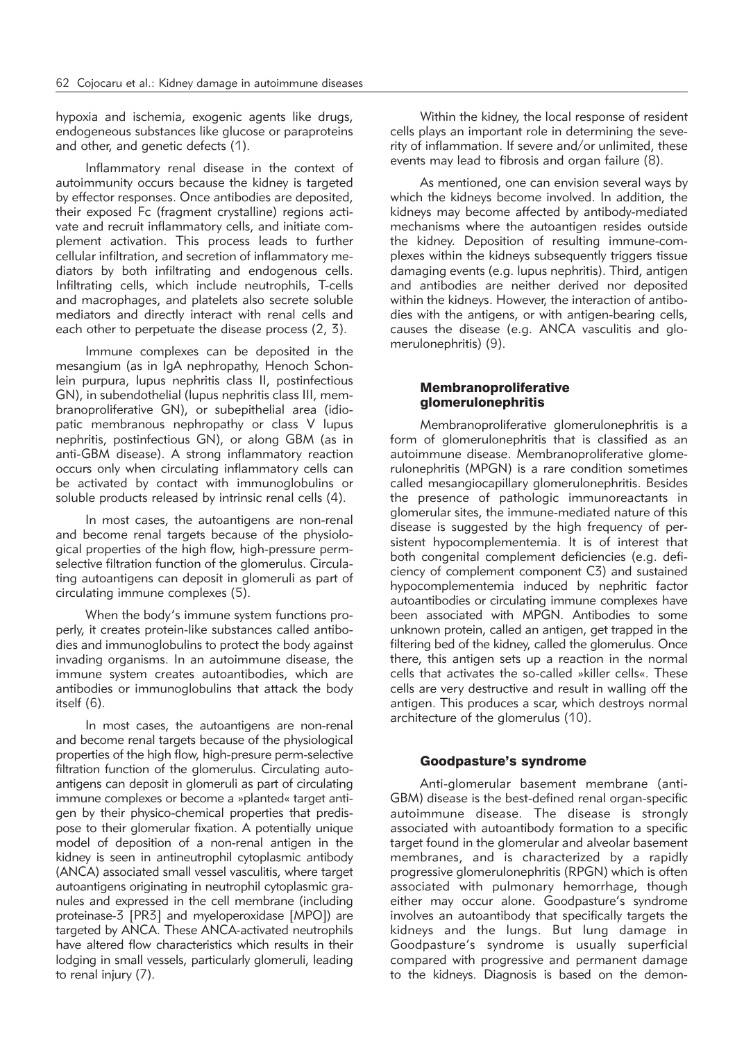hypoxia and ischemia, exogenic agents like drugs, endogeneous substances like glucose or paraproteins and other, and genetic defects (1).

Inflammatory renal disease in the context of autoimmunity occurs because the kidney is targeted by effector responses. Once antibodies are deposited, their exposed Fc (fragment crystalline) regions activate and recruit inflammatory cells, and initiate complement activation. This process leads to further cellular infiltration, and secretion of inflammatory me diators by both infiltrating and endogenous cells. Infiltrating cells, which include neutrophils, T-cells and macrophages, and platelets also secrete soluble mediators and directly interact with renal cells and each other to perpetuate the disease process (2, 3).

Immune complexes can be deposited in the mesangium (as in IgA nephropathy, Henoch Schonlein purpura, lupus nephritis class II, postinfectious GN), in subendothelial (lupus nephritis class III, membranoproliferative GN), or subepithelial area (idiopatic membranous nephropathy or class V lupus nephritis, postinfectious GN), or along GBM (as in anti-GBM disease). A strong inflammatory reaction occurs only when circulating inflammatory cells can be activated by contact with immunoglobulins or soluble products released by intrinsic renal cells (4).

In most cases, the autoantigens are non-renal and become renal targets because of the physiological properties of the high flow, high-pressure permselective filtration function of the glomerulus. Circulating autoantigens can deposit in glomeruli as part of circulating immune complexes (5).

When the body's immune system functions properly, it creates protein-like substances called antibodies and immunoglobulins to protect the body against invading organisms. In an autoimmune disease, the immune system creates autoantibodies, which are antibodies or immunoglobulins that attack the body itself (6).

In most cases, the autoantigens are non-renal and become renal targets because of the physiological properties of the high flow, high-presure perm-selective filtration function of the glomerulus. Circulating autoantigens can deposit in glomeruli as part of circulating immune complexes or become a »planted« target antigen by their physico-chemical properties that predispose to their glomerular fixation. A potentially unique model of deposition of a non-renal antigen in the kidney is seen in antineutrophil cytoplasmic antibody (ANCA) associated small vessel vasculitis, where target autoantigens originating in neutrophil cytoplasmic granules and expressed in the cell membrane (including proteinase-3 [PR3] and myeloperoxidase [MPO]) are targeted by ANCA. These ANCA-activated neutrophils have altered flow characteristics which results in their lodging in small vessels, particularly glomeruli, leading to renal injury (7).

Within the kidney, the local response of resident cells plays an important role in determining the severity of inflammation. If severe and/or unlimited, these events may lead to fibrosis and organ failure (8).

As mentioned, one can envision several ways by which the kidneys become involved. In addition, the kidneys may become affected by antibody-mediated mechanisms where the autoantigen resides outside the kidney. Deposition of resulting immune-complexes within the kidneys subsequently triggers tissue damaging events (e.g. lupus nephritis). Third, antigen and antibodies are neither derived nor deposited within the kidneys. However, the interaction of antibodies with the antigens, or with antigen-bearing cells, causes the disease (e.g. ANCA vasculitis and glomerulonephritis) (9).

# Membranoproliferative glomerulonephritis

Membranoproliferative glomerulonephritis is a form of glomerulonephritis that is classified as an autoimmune disease. Membranoproliferative glomerulonephritis (MPGN) is a rare condition sometimes called mesangiocapillary glomerulonephritis. Besides the presence of pathologic immunoreactants in glomerular sites, the immune-mediated nature of this disease is suggested by the high frequency of persistent hypocomplementemia. It is of interest that both congenital complement deficiencies (e.g. deficiency of complement component C3) and sustained hypocomplementemia induced by nephritic factor autoantibodies or circulating immune complexes have been associated with MPGN. Antibodies to some unknown protein, called an antigen, get trapped in the filtering bed of the kidney, called the glomerulus. Once there, this antigen sets up a reaction in the normal cells that activates the so-called »killer cells«. These cells are very destructive and result in walling off the antigen. This produces a scar, which destroys normal architecture of the glomerulus (10).

# Goodpasture's syndrome

Anti-glomerular basement membrane (anti-GBM) disease is the best-defined renal organ-specific autoimmune disease. The disease is strongly associated with autoantibody formation to a specific target found in the glomerular and alveolar basement membranes, and is characterized by a rapidly progressive glomerulonephritis (RPGN) which is often associated with pulmonary hemorrhage, though either may occur alone. Goodpasture's syndrome involves an autoantibody that specifically targets the kidneys and the lungs. But lung damage in Goodpasture's syndrome is usually superficial compared with progressive and permanent damage to the kidneys. Diagnosis is based on the demon-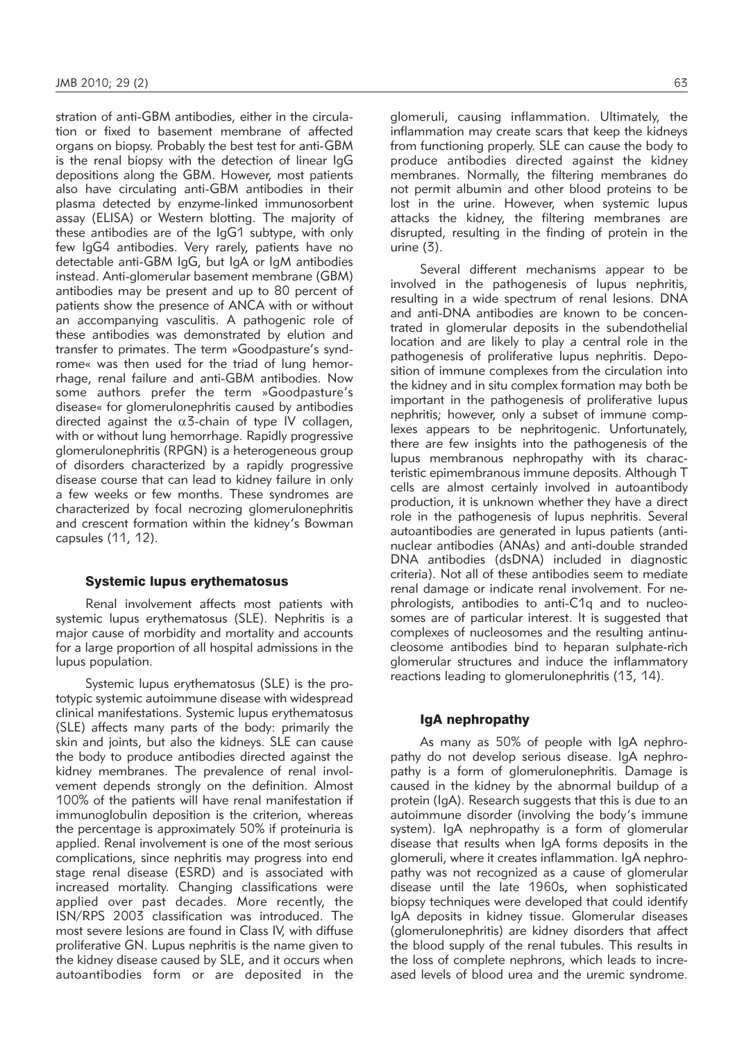stration of anti-GBM antibodies, either in the circulation or fixed to basement membrane of affected organs on biopsy. Probably the best test for anti-GBM is the renal biopsy with the detection of linear IgG depositions along the GBM. However, most patients also have circulating anti-GBM antibodies in their plasma detected by enzyme-linked immunosorbent assay (ELISA) or Western blotting. The majority of these antibodies are of the IgG1 subtype, with only few IgG4 antibodies. Very rarely, patients have no detectable anti-GBM IgG, but IgA or IgM antibodies instead. Anti-glomerular basement membrane (GBM) antibodies may be present and up to 80 percent of patients show the presence of ANCA with or without an accompanying vasculitis. A pathogenic role of these antibodies was demonstrated by elution and transfer to primates. The term »Goodpasture's syndrome« was then used for the triad of lung hemorrhage, renal failure and anti-GBM antibodies. Now some authors prefer the term »Goodpasture's disease« for glomerulonephritis caused by antibodies directed against the  $\alpha$ 3-chain of type IV collagen, with or without lung hemorrhage. Rapidly progressive glomerulonephritis (RPGN) is a heterogeneous group of disorders characterized by a rapidly progressive disease course that can lead to kidney failure in only a few weeks or few months. These syndromes are characterized by focal necrozing glomerulonephritis and crescent formation within the kidney's Bowman capsules (11, 12).

#### Systemic lupus erythematosus

Renal involvement affects most patients with systemic lupus erythematosus (SLE). Nephritis is a major cause of morbidity and mortality and accounts for a large proportion of all hospital admissions in the lupus population.

Systemic lupus erythematosus (SLE) is the prototypic systemic autoimmune disease with widespread clinical manifestations. Systemic lupus erythematosus (SLE) affects many parts of the body: primarily the skin and joints, but also the kidneys. SLE can cause the body to produce antibodies directed against the kidney membranes. The prevalence of renal involvement depends strongly on the definition. Almost 100% of the patients will have renal manifestation if immunoglobulin deposition is the criterion, whereas the percentage is approximately 50% if proteinuria is applied. Renal involvement is one of the most serious complications, since nephritis may progress into end stage renal disease (ESRD) and is associated with increased mortality. Changing classifications were applied over past decades. More recently, the ISN/RPS 2003 classification was introduced. The most severe lesions are found in Class IV, with diffuse proliferative GN. Lupus nephritis is the name given to the kidney disease caused by SLE, and it occurs when autoantibodies form or are deposited in the

glomeruli, causing inflammation. Ultimately, the inflammation may create scars that keep the kidneys from functioning properly. SLE can cause the body to produce antibodies directed against the kidney membranes. Normally, the filtering membranes do not permit albumin and other blood proteins to be lost in the urine. However, when systemic lupus attacks the kidney, the filtering membranes are disrupted, resulting in the finding of protein in the urine (3).

Several different mechanisms appear to be involved in the pathogenesis of lupus nephritis, resulting in a wide spectrum of renal lesions. DNA and anti-DNA antibodies are known to be concentrated in glomerular deposits in the subendothelial location and are likely to play a central role in the pathogenesis of proliferative lupus nephritis. Deposition of immune complexes from the circulation into the kidney and in situ complex formation may both be important in the pathogenesis of proliferative lupus nephritis; however, only a subset of immune complexes appears to be nephritogenic. Unfortunately, there are few insights into the pathogenesis of the lupus membranous nephropathy with its characteristic epimembranous immune deposits. Although T cells are almost certainly involved in autoantibody production, it is unknown whether they have a direct role in the pathogenesis of lupus nephritis. Several autoantibodies are generated in lupus patients (antinuclear antibodies (ANAs) and anti-double stranded DNA antibodies (dsDNA) included in diagnostic criteria). Not all of these antibodies seem to mediate renal damage or indicate renal involvement. For nephrologists, antibodies to anti-C1q and to nucleosomes are of particular interest. It is suggested that complexes of nucleosomes and the resulting antinucleosome antibodies bind to heparan sulphate-rich glomerular structures and induce the inflammatory reactions leading to glomerulonephritis (13, 14).

# IgA nephropathy

As many as 50% of people with IgA nephropathy do not develop serious disease. IgA nephropathy is a form of glomerulonephritis. Damage is caused in the kidney by the abnormal buildup of a protein (IgA). Research suggests that this is due to an autoimmune disorder (involving the body's immune system). IgA nephropathy is a form of glomerular disease that results when IgA forms deposits in the glomeruli, where it creates inflammation. IgA nephropathy was not recognized as a cause of glomerular disease until the late 1960s, when sophisticated biopsy techniques were developed that could identify IgA deposits in kidney tissue. Glomerular diseases (glomerulonephritis) are kidney disorders that affect the blood supply of the renal tubules. This results in the loss of complete nephrons, which leads to increased levels of blood urea and the uremic syndrome.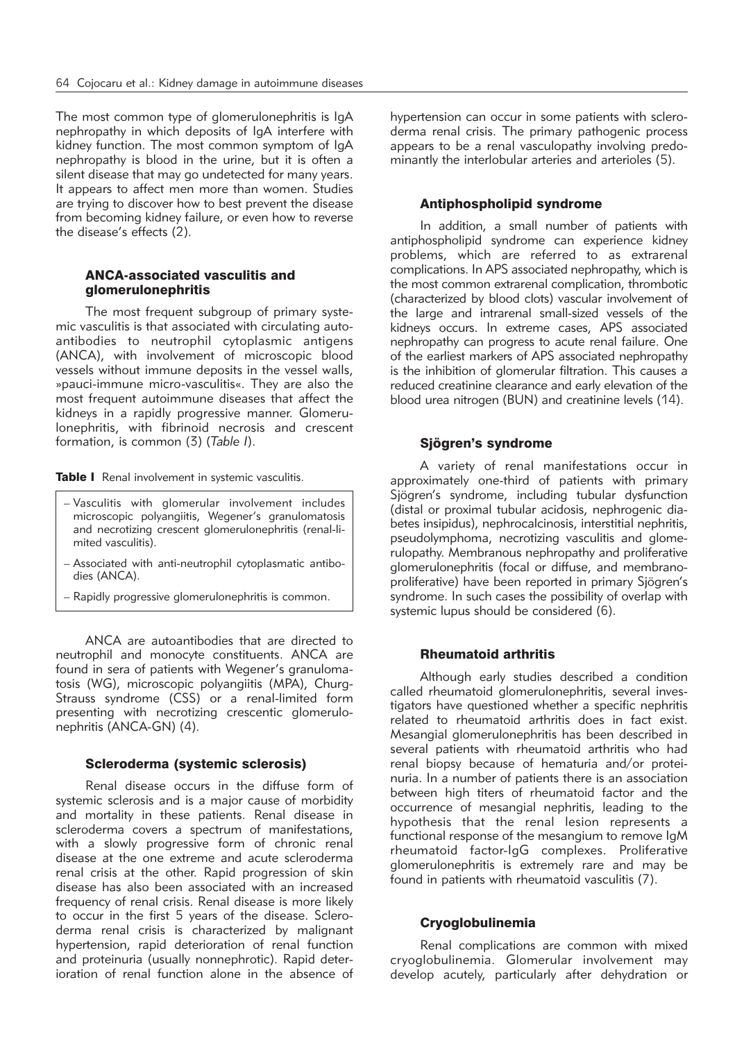The most common type of glomerulonephritis is IgA nephropathy in which deposits of IgA interfere with kidney function. The most common symptom of IgA nephropathy is blood in the urine, but it is often a silent disease that may go undetected for many years. It appears to affect men more than women. Studies are trying to discover how to best prevent the disease from becoming kidney failure, or even how to reverse the disease's effects (2).

### ANCA-associated vasculitis and glomerulonephritis

The most frequent subgroup of primary systemic vasculitis is that associated with circulating autoantibodies to neutrophil cytoplasmic antigens (ANCA), with involvement of microscopic blood vessels without immune deposits in the vessel walls, »pauci-immune micro-vasculitis«. They are also the most frequent autoimmune diseases that affect the kidneys in a rapidly progressive manner. Glomerulonephritis, with fibrinoid necrosis and crescent formation, is common (3) (*Table I*).

Table I Renal involvement in systemic vasculitis.

- Vasculitis with glomerular involvement includes microscopic polyangiitis, Wegener's granulomatosis and necrotizing crescent glomerulonephritis (renal-limited vasculitis).
- Associated with anti-neutrophil cytoplasmatic antibo dies (ANCA).
- Rapidly progressive glomerulonephritis is common.

ANCA are autoantibodies that are directed to neutrophil and monocyte constituents. ANCA are found in sera of patients with Wegener's granulomatosis (WG), microscopic polyangiitis (MPA), Churg-Strauss syndrome (CSS) or a renal-limited form presenting with necrotizing crescentic glomerulonephritis (ANCA-GN) (4).

# Scleroderma (systemic sclerosis)

Renal disease occurs in the diffuse form of systemic sclerosis and is a major cause of morbidity and mortality in these patients. Renal disease in scleroderma covers a spectrum of manifestations, with a slowly progressive form of chronic renal disease at the one extreme and acute scleroderma renal crisis at the other. Rapid progression of skin disease has also been associated with an increased frequency of renal crisis. Renal disease is more likely to occur in the first 5 years of the disease. Scleroderma renal crisis is characterized by malignant hypertension, rapid deterioration of renal function and proteinuria (usually nonnephrotic). Rapid deterioration of renal function alone in the absence of

hypertension can occur in some patients with scleroderma renal crisis. The primary pathogenic process appears to be a renal vasculopathy involving predominantly the interlobular arteries and arterioles (5).

### Antiphospholipid syndrome

In addition, a small number of patients with antiphospholipid syndrome can experience kidney problems, which are referred to as extrarenal complications. In APS associated nephropathy, which is the most common extrarenal complication, thrombotic (characterized by blood clots) vascular involvement of the large and intrarenal small-sized vessels of the kidneys occurs. In extreme cases, APS associated nephropathy can progress to acute renal failure. One of the earliest markers of APS associated nephropathy is the inhibition of glomerular filtration. This causes a reduced creatinine clearance and early elevation of the blood urea nitrogen (BUN) and creatinine levels (14).

### Sjögren's syndrome

A variety of renal manifestations occur in approximately one-third of patients with primary Sjögren's syndrome, including tubular dysfunction (distal or proximal tubular acidosis, nephrogenic dia betes insipidus), nephrocalcinosis, interstitial nephritis, pseudolymphoma, necrotizing vasculitis and glomerulopathy. Membranous nephropathy and proliferative glomerulonephritis (focal or diffuse, and membranoproliferative) have been reported in primary Sjögren's syndrome. In such cases the possibility of overlap with systemic lupus should be considered (6).

#### Rheumatoid arthritis

Although early studies described a condition called rheumatoid glomerulonephritis, several investigators have questioned whether a specific nephritis related to rheumatoid arthritis does in fact exist. Mesangial glomerulonephritis has been described in several patients with rheumatoid arthritis who had renal biopsy because of hematuria and/or proteinuria. In a number of patients there is an association between high titers of rheumatoid factor and the occurrence of mesangial nephritis, leading to the hypothesis that the renal lesion represents a functional response of the mesangium to remove IgM rheumatoid factor-IgG complexes. Proliferative glomerulonephritis is extremely rare and may be found in patients with rheumatoid vasculitis (7).

### Cryoglobulinemia

Renal complications are common with mixed cryoglobulinemia. Glomerular involvement may develop acutely, particularly after dehydration or